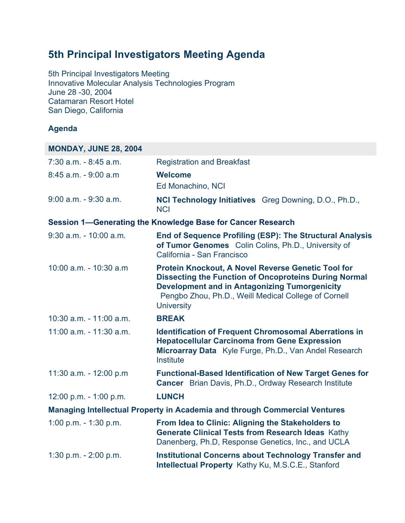## **5th Principal Investigators Meeting Agenda**

5th Principal Investigators Meeting Innovative Molecular Analysis Technologies Program June 28 -30, 2004 Catamaran Resort Hotel San Diego, California

## **Agenda**

| <b>MONDAY, JUNE 28, 2004</b>                                               |                                                                                                                                                                                                                                                         |  |
|----------------------------------------------------------------------------|---------------------------------------------------------------------------------------------------------------------------------------------------------------------------------------------------------------------------------------------------------|--|
| $7:30$ a.m. $-8:45$ a.m.                                                   | <b>Registration and Breakfast</b>                                                                                                                                                                                                                       |  |
| $8:45$ a.m. - $9:00$ a.m.                                                  | <b>Welcome</b>                                                                                                                                                                                                                                          |  |
|                                                                            | Ed Monachino, NCI                                                                                                                                                                                                                                       |  |
| 9:00 a.m. - 9:30 a.m.                                                      | <b>NCI Technology Initiatives</b> Greg Downing, D.O., Ph.D.,<br><b>NCI</b>                                                                                                                                                                              |  |
|                                                                            | Session 1—Generating the Knowledge Base for Cancer Research                                                                                                                                                                                             |  |
| 9:30 a.m. - 10:00 a.m.                                                     | <b>End of Sequence Profiling (ESP): The Structural Analysis</b><br>of Tumor Genomes Colin Colins, Ph.D., University of<br>California - San Francisco                                                                                                    |  |
| 10:00 a.m. - 10:30 a.m.                                                    | Protein Knockout, A Novel Reverse Genetic Tool for<br><b>Dissecting the Function of Oncoproteins During Normal</b><br><b>Development and in Antagonizing Tumorgenicity</b><br>Pengbo Zhou, Ph.D., Weill Medical College of Cornell<br><b>University</b> |  |
| $10:30$ a.m. $-11:00$ a.m.                                                 | <b>BREAK</b>                                                                                                                                                                                                                                            |  |
| 11:00 a.m. - 11:30 a.m.                                                    | <b>Identification of Frequent Chromosomal Aberrations in</b><br><b>Hepatocellular Carcinoma from Gene Expression</b><br>Microarray Data Kyle Furge, Ph.D., Van Andel Research<br>Institute                                                              |  |
| 11:30 a.m. - 12:00 p.m                                                     | <b>Functional-Based Identification of New Target Genes for</b><br>Cancer Brian Davis, Ph.D., Ordway Research Institute                                                                                                                                  |  |
| 12:00 p.m. - 1:00 p.m.                                                     | <b>LUNCH</b>                                                                                                                                                                                                                                            |  |
| Managing Intellectual Property in Academia and through Commercial Ventures |                                                                                                                                                                                                                                                         |  |
| 1:00 p.m. $-$ 1:30 p.m.                                                    | From Idea to Clinic: Aligning the Stakeholders to<br><b>Generate Clinical Tests from Research Ideas Kathy</b><br>Danenberg, Ph.D, Response Genetics, Inc., and UCLA                                                                                     |  |
| 1:30 p.m. - 2:00 p.m.                                                      | <b>Institutional Concerns about Technology Transfer and</b><br><b>Intellectual Property Kathy Ku, M.S.C.E., Stanford</b>                                                                                                                                |  |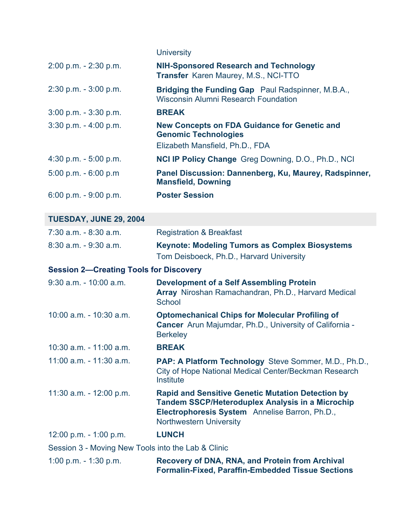|                                                    | <b>University</b>                                                                                                                                                                                       |
|----------------------------------------------------|---------------------------------------------------------------------------------------------------------------------------------------------------------------------------------------------------------|
| 2:00 p.m. - 2:30 p.m.                              | <b>NIH-Sponsored Research and Technology</b><br>Transfer Karen Maurey, M.S., NCI-TTO                                                                                                                    |
| $2:30$ p.m. $-3:00$ p.m.                           | Bridging the Funding Gap Paul Radspinner, M.B.A.,<br><b>Wisconsin Alumni Research Foundation</b>                                                                                                        |
| $3:00$ p.m. $-3:30$ p.m.                           | <b>BREAK</b>                                                                                                                                                                                            |
| $3:30$ p.m. $-4:00$ p.m.                           | <b>New Concepts on FDA Guidance for Genetic and</b><br><b>Genomic Technologies</b><br>Elizabeth Mansfield, Ph.D., FDA                                                                                   |
| 4:30 p.m. $-5:00$ p.m.                             | <b>NCI IP Policy Change Greg Downing, D.O., Ph.D., NCI</b>                                                                                                                                              |
| $5:00$ p.m. $-6:00$ p.m                            | Panel Discussion: Dannenberg, Ku, Maurey, Radspinner,<br><b>Mansfield, Downing</b>                                                                                                                      |
| 6:00 p.m. $-9:00$ p.m.                             | <b>Poster Session</b>                                                                                                                                                                                   |
| <b>TUESDAY, JUNE 29, 2004</b>                      |                                                                                                                                                                                                         |
| $7:30$ a.m. $-8:30$ a.m.                           | <b>Registration &amp; Breakfast</b>                                                                                                                                                                     |
| $8:30$ a.m. $-9:30$ a.m.                           | <b>Keynote: Modeling Tumors as Complex Biosystems</b><br>Tom Deisboeck, Ph.D., Harvard University                                                                                                       |
| <b>Session 2-Creating Tools for Discovery</b>      |                                                                                                                                                                                                         |
| $9:30$ a.m. - 10:00 a.m.                           | <b>Development of a Self Assembling Protein</b><br>Array Niroshan Ramachandran, Ph.D., Harvard Medical<br>School                                                                                        |
| 10:00 a.m. - 10:30 a.m.                            | <b>Optomechanical Chips for Molecular Profiling of</b><br>Cancer Arun Majumdar, Ph.D., University of California -<br><b>Berkeley</b>                                                                    |
| 10:30 a.m. - 11:00 a.m.                            | <b>BREAK</b>                                                                                                                                                                                            |
| 11:00 a.m. - 11:30 a.m.                            | <b>PAP: A Platform Technology</b> Steve Sommer, M.D., Ph.D.,<br>City of Hope National Medical Center/Beckman Research<br>Institute                                                                      |
| 11:30 a.m. - 12:00 p.m.                            | <b>Rapid and Sensitive Genetic Mutation Detection by</b><br><b>Tandem SSCP/Heteroduplex Analysis in a Microchip</b><br>Electrophoresis System Annelise Barron, Ph.D.,<br><b>Northwestern University</b> |
| 12:00 p.m. $-$ 1:00 p.m.                           | <b>LUNCH</b>                                                                                                                                                                                            |
| Session 3 - Moving New Tools into the Lab & Clinic |                                                                                                                                                                                                         |
| 1:00 p.m. $-$ 1:30 p.m.                            | <b>Recovery of DNA, RNA, and Protein from Archival</b><br><b>Formalin-Fixed, Paraffin-Embedded Tissue Sections</b>                                                                                      |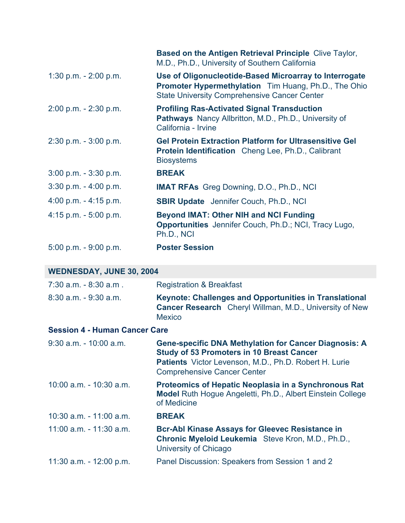|                           | <b>Based on the Antigen Retrieval Principle Clive Taylor,</b><br>M.D., Ph.D., University of Southern California                                                              |
|---------------------------|------------------------------------------------------------------------------------------------------------------------------------------------------------------------------|
| 1:30 p.m. - 2:00 p.m.     | Use of Oligonucleotide-Based Microarray to Interrogate<br><b>Promoter Hypermethylation</b> Tim Huang, Ph.D., The Ohio<br><b>State University Comprehensive Cancer Center</b> |
| $2:00$ p.m. $-2:30$ p.m.  | <b>Profiling Ras-Activated Signal Transduction</b><br><b>Pathways</b> Nancy Allbritton, M.D., Ph.D., University of<br>California - Irvine                                    |
| $2:30$ p.m. $-3:00$ p.m.  | <b>Gel Protein Extraction Platform for Ultrasensitive Gel</b><br><b>Protein Identification</b> Cheng Lee, Ph.D., Calibrant<br><b>Biosystems</b>                              |
| $3:00$ p.m. $-3:30$ p.m.  | <b>BREAK</b>                                                                                                                                                                 |
| $3:30$ p.m. $-4:00$ p.m.  | <b>IMAT RFAs</b> Greg Downing, D.O., Ph.D., NCI                                                                                                                              |
| 4:00 p.m. $-$ 4:15 p.m.   | <b>SBIR Update</b> Jennifer Couch, Ph.D., NCI                                                                                                                                |
| $4:15$ p.m. $-5:00$ p.m.  | <b>Beyond IMAT: Other NIH and NCI Funding</b><br><b>Opportunities</b> Jennifer Couch, Ph.D.; NCI, Tracy Lugo,<br>Ph.D., NCI                                                  |
| $5:00$ p.m. - $9:00$ p.m. | <b>Poster Session</b>                                                                                                                                                        |

## **WEDNESDAY, JUNE 30, 2004**

| 7:30 a.m. - 8:30 a.m.                | <b>Registration &amp; Breakfast</b>                                                                                                                                                                             |  |
|--------------------------------------|-----------------------------------------------------------------------------------------------------------------------------------------------------------------------------------------------------------------|--|
| $8:30$ a.m. $-9:30$ a.m.             | <b>Keynote: Challenges and Opportunities in Translational</b><br><b>Cancer Research</b> Cheryl Willman, M.D., University of New<br><b>Mexico</b>                                                                |  |
| <b>Session 4 - Human Cancer Care</b> |                                                                                                                                                                                                                 |  |
| $9:30$ a.m. - 10:00 a.m.             | <b>Gene-specific DNA Methylation for Cancer Diagnosis: A</b><br><b>Study of 53 Promoters in 10 Breast Cancer</b><br>Patients Victor Levenson, M.D., Ph.D. Robert H. Lurie<br><b>Comprehensive Cancer Center</b> |  |
| $10:00$ a.m. - $10:30$ a.m.          | <b>Proteomics of Hepatic Neoplasia in a Synchronous Rat</b><br><b>Model</b> Ruth Hogue Angeletti, Ph.D., Albert Einstein College<br>of Medicine                                                                 |  |
| $10:30$ a.m. $-11:00$ a.m.           | <b>BREAK</b>                                                                                                                                                                                                    |  |
| $11:00$ a.m. $-11:30$ a.m.           | <b>Bcr-Abl Kinase Assays for Gleevec Resistance in</b><br>Chronic Myeloid Leukemia Steve Kron, M.D., Ph.D.,<br>University of Chicago                                                                            |  |
| 11:30 a.m. $-$ 12:00 p.m.            | Panel Discussion: Speakers from Session 1 and 2                                                                                                                                                                 |  |
|                                      |                                                                                                                                                                                                                 |  |